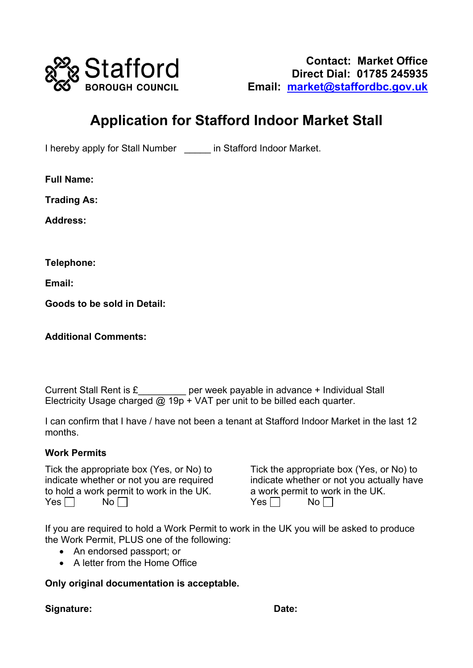

# **Application for Stafford Indoor Market Stall**

I hereby apply for Stall Number \_\_\_\_\_ in Stafford Indoor Market.

**Full Name:**

**Trading As:**

**Address:**

**Telephone:**

**Email:**

**Goods to be sold in Detail:**

**Additional Comments:**

Current Stall Rent is  $E$  \_\_\_\_\_\_ per week payable in advance + Individual Stall Electricity Usage charged  $@$  19p + VAT per unit to be billed each quarter.

I can confirm that I have / have not been a tenant at Stafford Indoor Market in the last 12 months.

### **Work Permits**

Tick the appropriate box (Yes, or No) to indicate whether or not you are required to hold a work permit to work in the UK.<br>Yes  $\Box$  No  $\Box$ Yes  $\Box$ 

Tick the appropriate box (Yes, or No) to indicate whether or not you actually have a work permit to work in the UK.<br>Yes  $\Box$  No  $\Box$  $Yes \Box$ 

If you are required to hold a Work Permit to work in the UK you will be asked to produce the Work Permit, PLUS one of the following:

- An endorsed passport; or
- A letter from the Home Office

**Only original documentation is acceptable.**

**Signature: Date:**